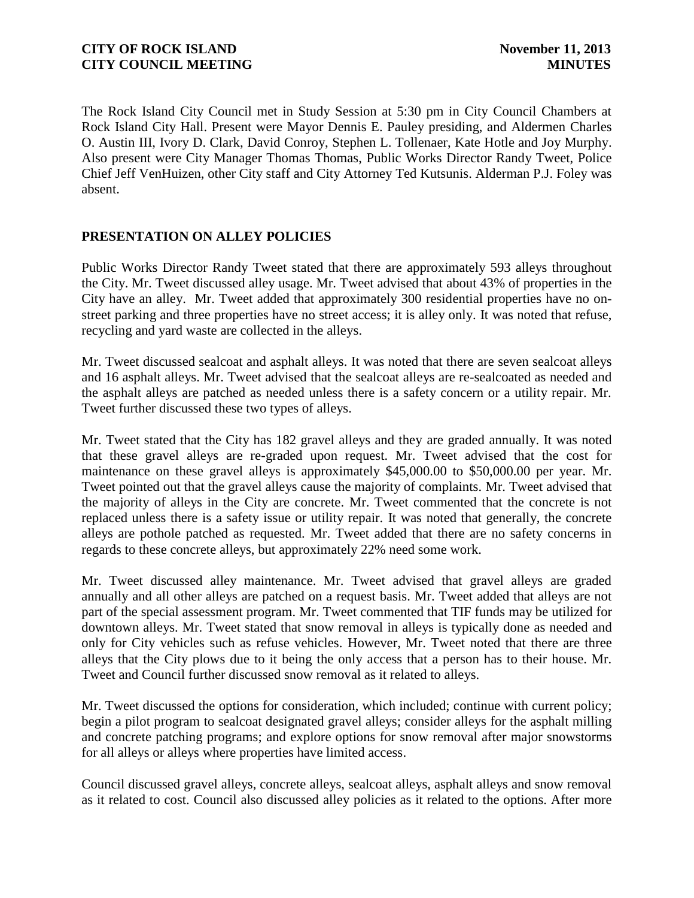The Rock Island City Council met in Study Session at 5:30 pm in City Council Chambers at Rock Island City Hall. Present were Mayor Dennis E. Pauley presiding, and Aldermen Charles O. Austin III, Ivory D. Clark, David Conroy, Stephen L. Tollenaer, Kate Hotle and Joy Murphy. Also present were City Manager Thomas Thomas, Public Works Director Randy Tweet, Police Chief Jeff VenHuizen, other City staff and City Attorney Ted Kutsunis. Alderman P.J. Foley was absent.

# **PRESENTATION ON ALLEY POLICIES**

Public Works Director Randy Tweet stated that there are approximately 593 alleys throughout the City. Mr. Tweet discussed alley usage. Mr. Tweet advised that about 43% of properties in the City have an alley. Mr. Tweet added that approximately 300 residential properties have no onstreet parking and three properties have no street access; it is alley only. It was noted that refuse, recycling and yard waste are collected in the alleys.

Mr. Tweet discussed sealcoat and asphalt alleys. It was noted that there are seven sealcoat alleys and 16 asphalt alleys. Mr. Tweet advised that the sealcoat alleys are re-sealcoated as needed and the asphalt alleys are patched as needed unless there is a safety concern or a utility repair. Mr. Tweet further discussed these two types of alleys.

Mr. Tweet stated that the City has 182 gravel alleys and they are graded annually. It was noted that these gravel alleys are re-graded upon request. Mr. Tweet advised that the cost for maintenance on these gravel alleys is approximately \$45,000.00 to \$50,000.00 per year. Mr. Tweet pointed out that the gravel alleys cause the majority of complaints. Mr. Tweet advised that the majority of alleys in the City are concrete. Mr. Tweet commented that the concrete is not replaced unless there is a safety issue or utility repair. It was noted that generally, the concrete alleys are pothole patched as requested. Mr. Tweet added that there are no safety concerns in regards to these concrete alleys, but approximately 22% need some work.

Mr. Tweet discussed alley maintenance. Mr. Tweet advised that gravel alleys are graded annually and all other alleys are patched on a request basis. Mr. Tweet added that alleys are not part of the special assessment program. Mr. Tweet commented that TIF funds may be utilized for downtown alleys. Mr. Tweet stated that snow removal in alleys is typically done as needed and only for City vehicles such as refuse vehicles. However, Mr. Tweet noted that there are three alleys that the City plows due to it being the only access that a person has to their house. Mr. Tweet and Council further discussed snow removal as it related to alleys.

Mr. Tweet discussed the options for consideration, which included; continue with current policy; begin a pilot program to sealcoat designated gravel alleys; consider alleys for the asphalt milling and concrete patching programs; and explore options for snow removal after major snowstorms for all alleys or alleys where properties have limited access.

Council discussed gravel alleys, concrete alleys, sealcoat alleys, asphalt alleys and snow removal as it related to cost. Council also discussed alley policies as it related to the options. After more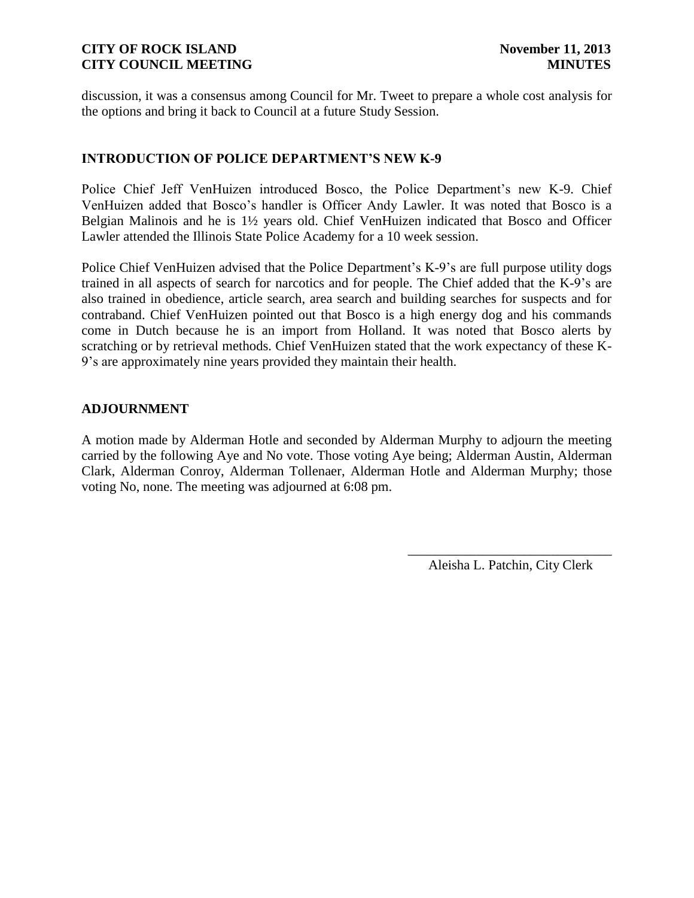discussion, it was a consensus among Council for Mr. Tweet to prepare a whole cost analysis for the options and bring it back to Council at a future Study Session.

## **INTRODUCTION OF POLICE DEPARTMENT'S NEW K-9**

Police Chief Jeff VenHuizen introduced Bosco, the Police Department's new K-9. Chief VenHuizen added that Bosco's handler is Officer Andy Lawler. It was noted that Bosco is a Belgian Malinois and he is 1½ years old. Chief VenHuizen indicated that Bosco and Officer Lawler attended the Illinois State Police Academy for a 10 week session.

Police Chief VenHuizen advised that the Police Department's K-9's are full purpose utility dogs trained in all aspects of search for narcotics and for people. The Chief added that the K-9's are also trained in obedience, article search, area search and building searches for suspects and for contraband. Chief VenHuizen pointed out that Bosco is a high energy dog and his commands come in Dutch because he is an import from Holland. It was noted that Bosco alerts by scratching or by retrieval methods. Chief VenHuizen stated that the work expectancy of these K-9's are approximately nine years provided they maintain their health.

#### **ADJOURNMENT**

A motion made by Alderman Hotle and seconded by Alderman Murphy to adjourn the meeting carried by the following Aye and No vote. Those voting Aye being; Alderman Austin, Alderman Clark, Alderman Conroy, Alderman Tollenaer, Alderman Hotle and Alderman Murphy; those voting No, none. The meeting was adjourned at 6:08 pm.

> \_\_\_\_\_\_\_\_\_\_\_\_\_\_\_\_\_\_\_\_\_\_\_\_\_\_\_\_\_\_ Aleisha L. Patchin, City Clerk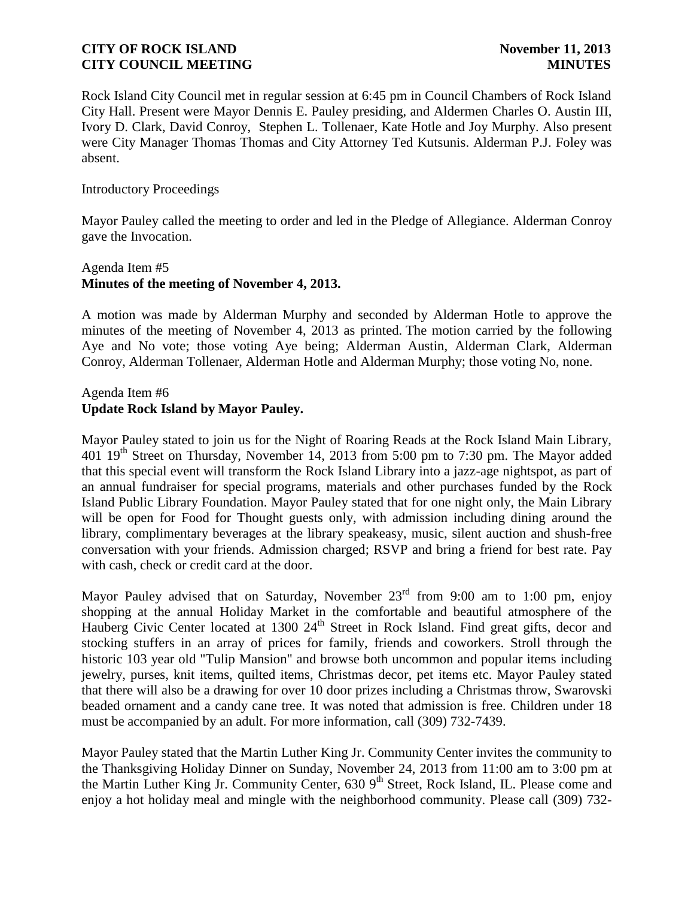Rock Island City Council met in regular session at 6:45 pm in Council Chambers of Rock Island City Hall. Present were Mayor Dennis E. Pauley presiding, and Aldermen Charles O. Austin III, Ivory D. Clark, David Conroy, Stephen L. Tollenaer, Kate Hotle and Joy Murphy. Also present were City Manager Thomas Thomas and City Attorney Ted Kutsunis. Alderman P.J. Foley was absent.

#### Introductory Proceedings

Mayor Pauley called the meeting to order and led in the Pledge of Allegiance. Alderman Conroy gave the Invocation.

## Agenda Item #5 **Minutes of the meeting of November 4, 2013.**

A motion was made by Alderman Murphy and seconded by Alderman Hotle to approve the minutes of the meeting of November 4, 2013 as printed. The motion carried by the following Aye and No vote; those voting Aye being; Alderman Austin, Alderman Clark, Alderman Conroy, Alderman Tollenaer, Alderman Hotle and Alderman Murphy; those voting No, none.

## Agenda Item #6 **Update Rock Island by Mayor Pauley.**

Mayor Pauley stated to join us for the Night of Roaring Reads at the Rock Island Main Library, 401 19<sup>th</sup> Street on Thursday, November 14, 2013 from 5:00 pm to 7:30 pm. The Mayor added that this special event will transform the Rock Island Library into a jazz-age nightspot, as part of an annual fundraiser for special programs, materials and other purchases funded by the Rock Island Public Library Foundation. Mayor Pauley stated that for one night only, the Main Library will be open for Food for Thought guests only, with admission including dining around the library, complimentary beverages at the library speakeasy, music, silent auction and shush-free conversation with your friends. Admission charged; RSVP and bring a friend for best rate. Pay with cash, check or credit card at the door.

Mayor Pauley advised that on Saturday, November  $23<sup>rd</sup>$  from 9:00 am to 1:00 pm, enjoy shopping at the annual Holiday Market in the comfortable and beautiful atmosphere of the Hauberg Civic Center located at 1300 24<sup>th</sup> Street in Rock Island. Find great gifts, decor and stocking stuffers in an array of prices for family, friends and coworkers. Stroll through the historic 103 year old "Tulip Mansion" and browse both uncommon and popular items including jewelry, purses, knit items, quilted items, Christmas decor, pet items etc. Mayor Pauley stated that there will also be a drawing for over 10 door prizes including a Christmas throw, Swarovski beaded ornament and a candy cane tree. It was noted that admission is free. Children under 18 must be accompanied by an adult. For more information, call (309) 732-7439.

Mayor Pauley stated that the Martin Luther King Jr. Community Center invites the community to the Thanksgiving Holiday Dinner on Sunday, November 24, 2013 from 11:00 am to 3:00 pm at the Martin Luther King Jr. Community Center, 630 9<sup>th</sup> Street, Rock Island, IL. Please come and enjoy a hot holiday meal and mingle with the neighborhood community. Please call (309) 732-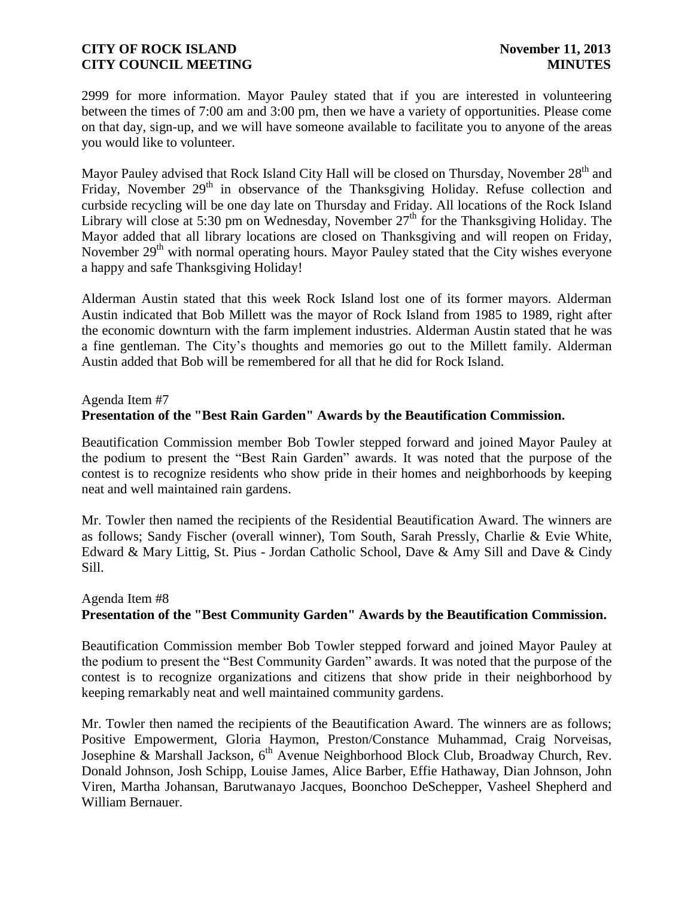2999 for more information. Mayor Pauley stated that if you are interested in volunteering between the times of 7:00 am and 3:00 pm, then we have a variety of opportunities. Please come on that day, sign-up, and we will have someone available to facilitate you to anyone of the areas you would like to volunteer.

Mayor Pauley advised that Rock Island City Hall will be closed on Thursday, November 28<sup>th</sup> and Friday, November 29<sup>th</sup> in observance of the Thanksgiving Holiday. Refuse collection and curbside recycling will be one day late on Thursday and Friday. All locations of the Rock Island Library will close at 5:30 pm on Wednesday, November  $27<sup>th</sup>$  for the Thanksgiving Holiday. The Mayor added that all library locations are closed on Thanksgiving and will reopen on Friday, November 29<sup>th</sup> with normal operating hours. Mayor Pauley stated that the City wishes everyone a happy and safe Thanksgiving Holiday!

Alderman Austin stated that this week Rock Island lost one of its former mayors. Alderman Austin indicated that Bob Millett was the mayor of Rock Island from 1985 to 1989, right after the economic downturn with the farm implement industries. Alderman Austin stated that he was a fine gentleman. The City's thoughts and memories go out to the Millett family. Alderman Austin added that Bob will be remembered for all that he did for Rock Island.

#### Agenda Item #7

## **Presentation of the "Best Rain Garden" Awards by the Beautification Commission.**

Beautification Commission member Bob Towler stepped forward and joined Mayor Pauley at the podium to present the "Best Rain Garden" awards. It was noted that the purpose of the contest is to recognize residents who show pride in their homes and neighborhoods by keeping neat and well maintained rain gardens.

Mr. Towler then named the recipients of the Residential Beautification Award. The winners are as follows; Sandy Fischer (overall winner), Tom South, Sarah Pressly, Charlie & Evie White, Edward & Mary Littig, St. Pius - Jordan Catholic School, Dave & Amy Sill and Dave & Cindy Sill.

# Agenda Item #8 **Presentation of the "Best Community Garden" Awards by the Beautification Commission.**

Beautification Commission member Bob Towler stepped forward and joined Mayor Pauley at the podium to present the "Best Community Garden" awards. It was noted that the purpose of the contest is to recognize organizations and citizens that show pride in their neighborhood by keeping remarkably neat and well maintained community gardens.

Mr. Towler then named the recipients of the Beautification Award. The winners are as follows; Positive Empowerment, Gloria Haymon, Preston/Constance Muhammad, Craig Norveisas, Josephine & Marshall Jackson,  $6<sup>th</sup>$  Avenue Neighborhood Block Club, Broadway Church, Rev. Donald Johnson, Josh Schipp, Louise James, Alice Barber, Effie Hathaway, Dian Johnson, John Viren, Martha Johansan, Barutwanayo Jacques, Boonchoo DeSchepper, Vasheel Shepherd and William Bernauer.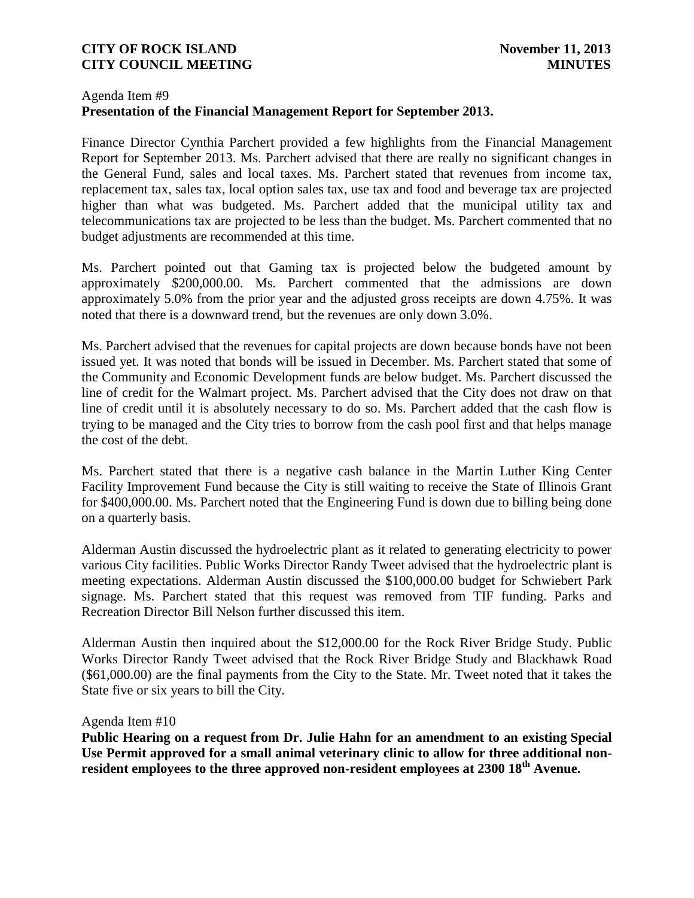### Agenda Item #9 **Presentation of the Financial Management Report for September 2013.**

Finance Director Cynthia Parchert provided a few highlights from the Financial Management Report for September 2013. Ms. Parchert advised that there are really no significant changes in the General Fund, sales and local taxes. Ms. Parchert stated that revenues from income tax, replacement tax, sales tax, local option sales tax, use tax and food and beverage tax are projected higher than what was budgeted. Ms. Parchert added that the municipal utility tax and telecommunications tax are projected to be less than the budget. Ms. Parchert commented that no budget adjustments are recommended at this time.

Ms. Parchert pointed out that Gaming tax is projected below the budgeted amount by approximately \$200,000.00. Ms. Parchert commented that the admissions are down approximately 5.0% from the prior year and the adjusted gross receipts are down 4.75%. It was noted that there is a downward trend, but the revenues are only down 3.0%.

Ms. Parchert advised that the revenues for capital projects are down because bonds have not been issued yet. It was noted that bonds will be issued in December. Ms. Parchert stated that some of the Community and Economic Development funds are below budget. Ms. Parchert discussed the line of credit for the Walmart project. Ms. Parchert advised that the City does not draw on that line of credit until it is absolutely necessary to do so. Ms. Parchert added that the cash flow is trying to be managed and the City tries to borrow from the cash pool first and that helps manage the cost of the debt.

Ms. Parchert stated that there is a negative cash balance in the Martin Luther King Center Facility Improvement Fund because the City is still waiting to receive the State of Illinois Grant for \$400,000.00. Ms. Parchert noted that the Engineering Fund is down due to billing being done on a quarterly basis.

Alderman Austin discussed the hydroelectric plant as it related to generating electricity to power various City facilities. Public Works Director Randy Tweet advised that the hydroelectric plant is meeting expectations. Alderman Austin discussed the \$100,000.00 budget for Schwiebert Park signage. Ms. Parchert stated that this request was removed from TIF funding. Parks and Recreation Director Bill Nelson further discussed this item.

Alderman Austin then inquired about the \$12,000.00 for the Rock River Bridge Study. Public Works Director Randy Tweet advised that the Rock River Bridge Study and Blackhawk Road (\$61,000.00) are the final payments from the City to the State. Mr. Tweet noted that it takes the State five or six years to bill the City.

#### Agenda Item #10

**Public Hearing on a request from Dr. Julie Hahn for an amendment to an existing Special Use Permit approved for a small animal veterinary clinic to allow for three additional nonresident employees to the three approved non-resident employees at 2300 18th Avenue.**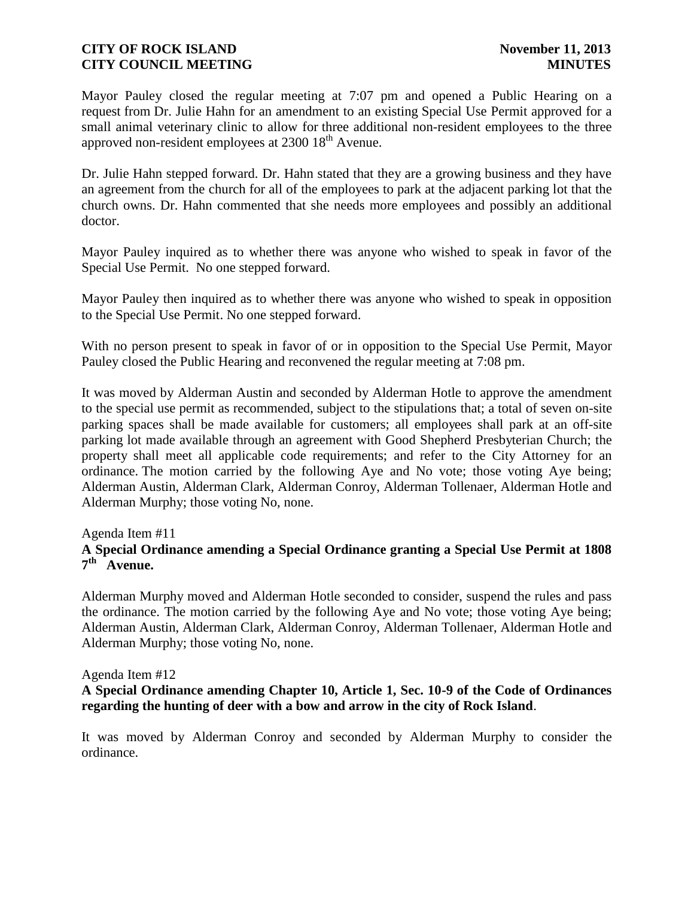Mayor Pauley closed the regular meeting at 7:07 pm and opened a Public Hearing on a request from Dr. Julie Hahn for an amendment to an existing Special Use Permit approved for a small animal veterinary clinic to allow for three additional non-resident employees to the three approved non-resident employees at  $2300\,18^{th}$  Avenue.

Dr. Julie Hahn stepped forward. Dr. Hahn stated that they are a growing business and they have an agreement from the church for all of the employees to park at the adjacent parking lot that the church owns. Dr. Hahn commented that she needs more employees and possibly an additional doctor.

Mayor Pauley inquired as to whether there was anyone who wished to speak in favor of the Special Use Permit. No one stepped forward.

Mayor Pauley then inquired as to whether there was anyone who wished to speak in opposition to the Special Use Permit. No one stepped forward.

With no person present to speak in favor of or in opposition to the Special Use Permit, Mayor Pauley closed the Public Hearing and reconvened the regular meeting at 7:08 pm.

It was moved by Alderman Austin and seconded by Alderman Hotle to approve the amendment to the special use permit as recommended, subject to the stipulations that; a total of seven on-site parking spaces shall be made available for customers; all employees shall park at an off-site parking lot made available through an agreement with Good Shepherd Presbyterian Church; the property shall meet all applicable code requirements; and refer to the City Attorney for an ordinance. The motion carried by the following Aye and No vote; those voting Aye being; Alderman Austin, Alderman Clark, Alderman Conroy, Alderman Tollenaer, Alderman Hotle and Alderman Murphy; those voting No, none.

#### Agenda Item #11

## **A Special Ordinance amending a Special Ordinance granting a Special Use Permit at 1808 7 th Avenue.**

Alderman Murphy moved and Alderman Hotle seconded to consider, suspend the rules and pass the ordinance. The motion carried by the following Aye and No vote; those voting Aye being; Alderman Austin, Alderman Clark, Alderman Conroy, Alderman Tollenaer, Alderman Hotle and Alderman Murphy; those voting No, none.

#### Agenda Item #12

#### **A Special Ordinance amending Chapter 10, Article 1, Sec. 10-9 of the Code of Ordinances regarding the hunting of deer with a bow and arrow in the city of Rock Island**.

It was moved by Alderman Conroy and seconded by Alderman Murphy to consider the ordinance.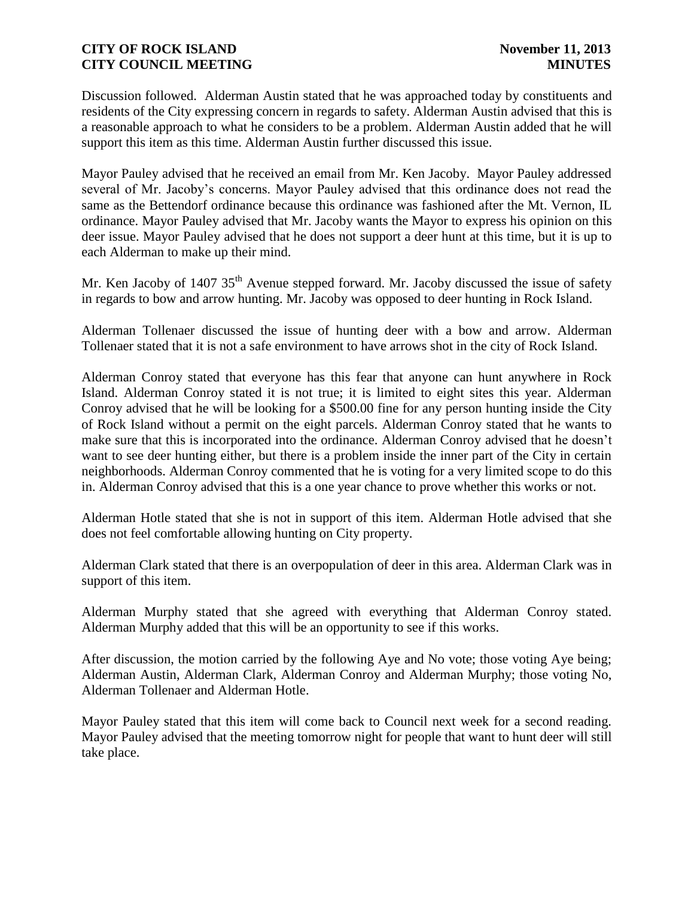Discussion followed. Alderman Austin stated that he was approached today by constituents and residents of the City expressing concern in regards to safety. Alderman Austin advised that this is a reasonable approach to what he considers to be a problem. Alderman Austin added that he will support this item as this time. Alderman Austin further discussed this issue.

Mayor Pauley advised that he received an email from Mr. Ken Jacoby. Mayor Pauley addressed several of Mr. Jacoby's concerns. Mayor Pauley advised that this ordinance does not read the same as the Bettendorf ordinance because this ordinance was fashioned after the Mt. Vernon, IL ordinance. Mayor Pauley advised that Mr. Jacoby wants the Mayor to express his opinion on this deer issue. Mayor Pauley advised that he does not support a deer hunt at this time, but it is up to each Alderman to make up their mind.

Mr. Ken Jacoby of 1407  $35<sup>th</sup>$  Avenue stepped forward. Mr. Jacoby discussed the issue of safety in regards to bow and arrow hunting. Mr. Jacoby was opposed to deer hunting in Rock Island.

Alderman Tollenaer discussed the issue of hunting deer with a bow and arrow. Alderman Tollenaer stated that it is not a safe environment to have arrows shot in the city of Rock Island.

Alderman Conroy stated that everyone has this fear that anyone can hunt anywhere in Rock Island. Alderman Conroy stated it is not true; it is limited to eight sites this year. Alderman Conroy advised that he will be looking for a \$500.00 fine for any person hunting inside the City of Rock Island without a permit on the eight parcels. Alderman Conroy stated that he wants to make sure that this is incorporated into the ordinance. Alderman Conroy advised that he doesn't want to see deer hunting either, but there is a problem inside the inner part of the City in certain neighborhoods. Alderman Conroy commented that he is voting for a very limited scope to do this in. Alderman Conroy advised that this is a one year chance to prove whether this works or not.

Alderman Hotle stated that she is not in support of this item. Alderman Hotle advised that she does not feel comfortable allowing hunting on City property.

Alderman Clark stated that there is an overpopulation of deer in this area. Alderman Clark was in support of this item.

Alderman Murphy stated that she agreed with everything that Alderman Conroy stated. Alderman Murphy added that this will be an opportunity to see if this works.

After discussion, the motion carried by the following Aye and No vote; those voting Aye being; Alderman Austin, Alderman Clark, Alderman Conroy and Alderman Murphy; those voting No, Alderman Tollenaer and Alderman Hotle.

Mayor Pauley stated that this item will come back to Council next week for a second reading. Mayor Pauley advised that the meeting tomorrow night for people that want to hunt deer will still take place.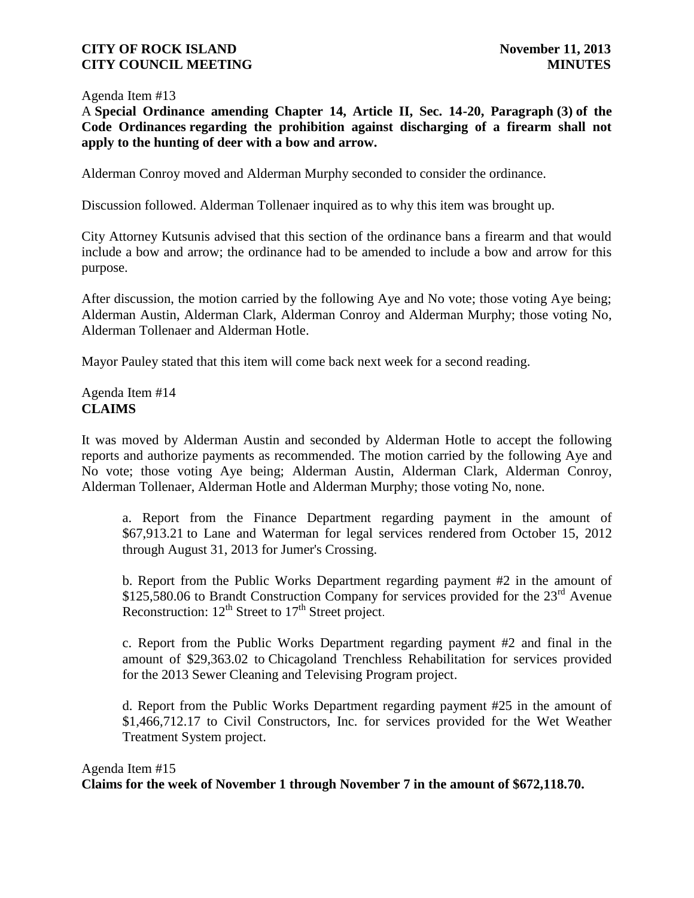#### Agenda Item #13

A **Special Ordinance amending Chapter 14, Article II, Sec. 14-20, Paragraph (3) of the Code Ordinances regarding the prohibition against discharging of a firearm shall not apply to the hunting of deer with a bow and arrow.**

Alderman Conroy moved and Alderman Murphy seconded to consider the ordinance.

Discussion followed. Alderman Tollenaer inquired as to why this item was brought up.

City Attorney Kutsunis advised that this section of the ordinance bans a firearm and that would include a bow and arrow; the ordinance had to be amended to include a bow and arrow for this purpose.

After discussion, the motion carried by the following Aye and No vote; those voting Aye being; Alderman Austin, Alderman Clark, Alderman Conroy and Alderman Murphy; those voting No, Alderman Tollenaer and Alderman Hotle.

Mayor Pauley stated that this item will come back next week for a second reading.

Agenda Item #14 **CLAIMS**

It was moved by Alderman Austin and seconded by Alderman Hotle to accept the following reports and authorize payments as recommended. The motion carried by the following Aye and No vote; those voting Aye being; Alderman Austin, Alderman Clark, Alderman Conroy, Alderman Tollenaer, Alderman Hotle and Alderman Murphy; those voting No, none.

a. Report from the Finance Department regarding payment in the amount of \$67,913.21 to Lane and Waterman for legal services rendered from October 15, 2012 through August 31, 2013 for Jumer's Crossing.

b. Report from the Public Works Department regarding payment #2 in the amount of \$125,580.06 to Brandt Construction Company for services provided for the 23<sup>rd</sup> Avenue Reconstruction:  $12^{th}$  Street to  $17^{th}$  Street project.

c. Report from the Public Works Department regarding payment #2 and final in the amount of \$29,363.02 to Chicagoland Trenchless Rehabilitation for services provided for the 2013 Sewer Cleaning and Televising Program project.

d. Report from the Public Works Department regarding payment #25 in the amount of \$1,466,712.17 to Civil Constructors, Inc. for services provided for the Wet Weather Treatment System project.

# Agenda Item #15 **Claims for the week of November 1 through November 7 in the amount of \$672,118.70.**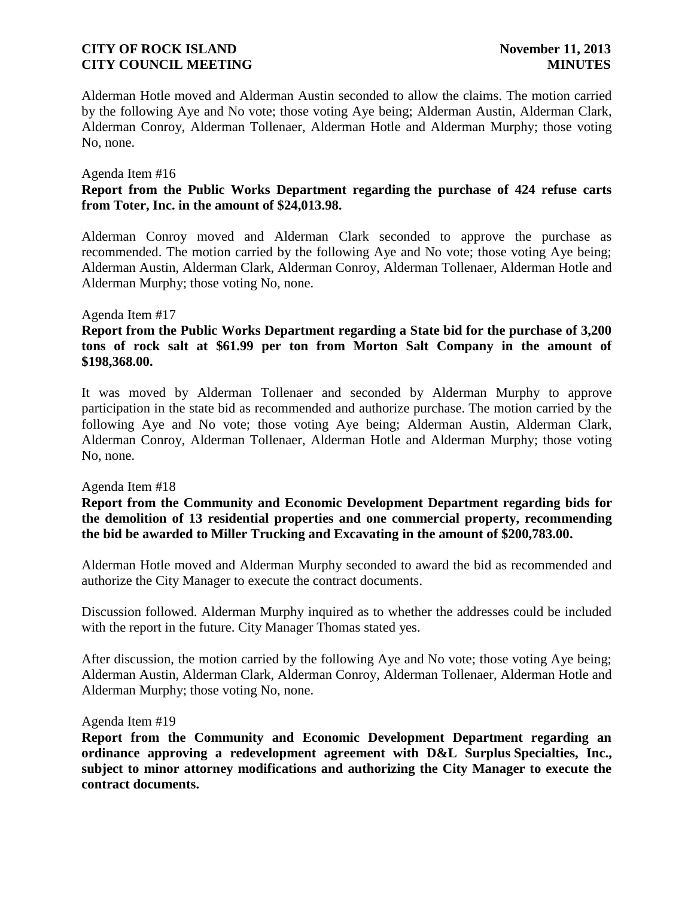Alderman Hotle moved and Alderman Austin seconded to allow the claims. The motion carried by the following Aye and No vote; those voting Aye being; Alderman Austin, Alderman Clark, Alderman Conroy, Alderman Tollenaer, Alderman Hotle and Alderman Murphy; those voting No, none.

#### Agenda Item #16

## **Report from the Public Works Department regarding the purchase of 424 refuse carts from Toter, Inc. in the amount of \$24,013.98.**

Alderman Conroy moved and Alderman Clark seconded to approve the purchase as recommended. The motion carried by the following Aye and No vote; those voting Aye being; Alderman Austin, Alderman Clark, Alderman Conroy, Alderman Tollenaer, Alderman Hotle and Alderman Murphy; those voting No, none.

#### Agenda Item #17

## **Report from the Public Works Department regarding a State bid for the purchase of 3,200 tons of rock salt at \$61.99 per ton from Morton Salt Company in the amount of \$198,368.00.**

It was moved by Alderman Tollenaer and seconded by Alderman Murphy to approve participation in the state bid as recommended and authorize purchase. The motion carried by the following Aye and No vote; those voting Aye being; Alderman Austin, Alderman Clark, Alderman Conroy, Alderman Tollenaer, Alderman Hotle and Alderman Murphy; those voting No, none.

#### Agenda Item #18

**Report from the Community and Economic Development Department regarding bids for the demolition of 13 residential properties and one commercial property, recommending the bid be awarded to Miller Trucking and Excavating in the amount of \$200,783.00.**

Alderman Hotle moved and Alderman Murphy seconded to award the bid as recommended and authorize the City Manager to execute the contract documents.

Discussion followed. Alderman Murphy inquired as to whether the addresses could be included with the report in the future. City Manager Thomas stated yes.

After discussion, the motion carried by the following Aye and No vote; those voting Aye being; Alderman Austin, Alderman Clark, Alderman Conroy, Alderman Tollenaer, Alderman Hotle and Alderman Murphy; those voting No, none.

#### Agenda Item #19

**Report from the Community and Economic Development Department regarding an ordinance approving a redevelopment agreement with D&L Surplus Specialties, Inc., subject to minor attorney modifications and authorizing the City Manager to execute the contract documents.**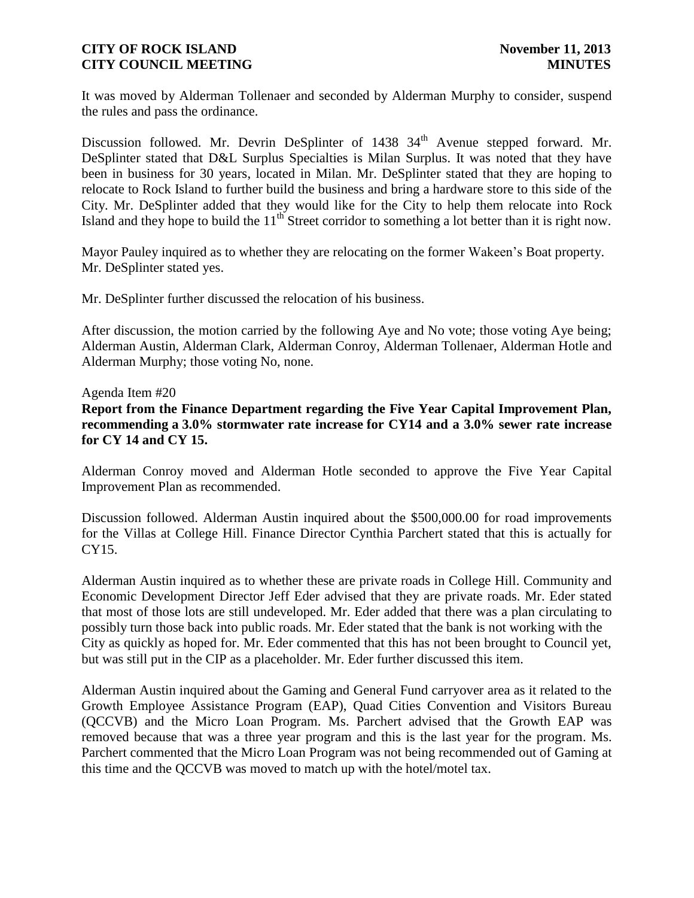It was moved by Alderman Tollenaer and seconded by Alderman Murphy to consider, suspend the rules and pass the ordinance.

Discussion followed. Mr. Devrin DeSplinter of 1438 34<sup>th</sup> Avenue stepped forward. Mr. DeSplinter stated that D&L Surplus Specialties is Milan Surplus. It was noted that they have been in business for 30 years, located in Milan. Mr. DeSplinter stated that they are hoping to relocate to Rock Island to further build the business and bring a hardware store to this side of the City. Mr. DeSplinter added that they would like for the City to help them relocate into Rock Island and they hope to build the  $11<sup>th</sup>$  Street corridor to something a lot better than it is right now.

Mayor Pauley inquired as to whether they are relocating on the former Wakeen's Boat property. Mr. DeSplinter stated yes.

Mr. DeSplinter further discussed the relocation of his business.

After discussion, the motion carried by the following Aye and No vote; those voting Aye being; Alderman Austin, Alderman Clark, Alderman Conroy, Alderman Tollenaer, Alderman Hotle and Alderman Murphy; those voting No, none.

#### Agenda Item #20

**Report from the Finance Department regarding the Five Year Capital Improvement Plan, recommending a 3.0% stormwater rate increase for CY14 and a 3.0% sewer rate increase for CY 14 and CY 15.**

Alderman Conroy moved and Alderman Hotle seconded to approve the Five Year Capital Improvement Plan as recommended.

Discussion followed. Alderman Austin inquired about the \$500,000.00 for road improvements for the Villas at College Hill. Finance Director Cynthia Parchert stated that this is actually for CY15.

Alderman Austin inquired as to whether these are private roads in College Hill. Community and Economic Development Director Jeff Eder advised that they are private roads. Mr. Eder stated that most of those lots are still undeveloped. Mr. Eder added that there was a plan circulating to possibly turn those back into public roads. Mr. Eder stated that the bank is not working with the City as quickly as hoped for. Mr. Eder commented that this has not been brought to Council yet, but was still put in the CIP as a placeholder. Mr. Eder further discussed this item.

Alderman Austin inquired about the Gaming and General Fund carryover area as it related to the Growth Employee Assistance Program (EAP), Quad Cities Convention and Visitors Bureau (QCCVB) and the Micro Loan Program. Ms. Parchert advised that the Growth EAP was removed because that was a three year program and this is the last year for the program. Ms. Parchert commented that the Micro Loan Program was not being recommended out of Gaming at this time and the QCCVB was moved to match up with the hotel/motel tax.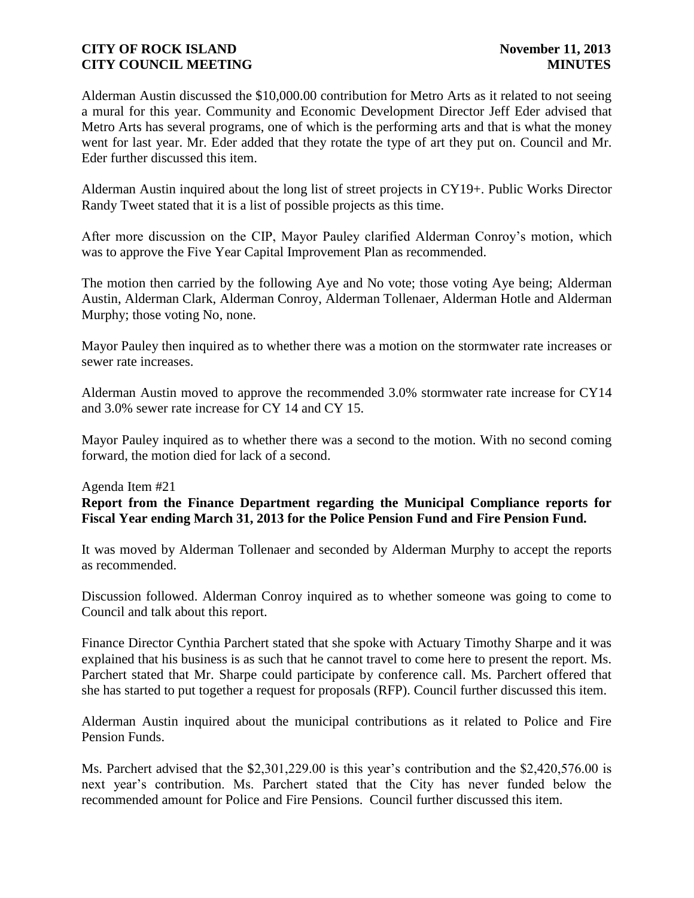Alderman Austin discussed the \$10,000.00 contribution for Metro Arts as it related to not seeing a mural for this year. Community and Economic Development Director Jeff Eder advised that Metro Arts has several programs, one of which is the performing arts and that is what the money went for last year. Mr. Eder added that they rotate the type of art they put on. Council and Mr. Eder further discussed this item.

Alderman Austin inquired about the long list of street projects in CY19+. Public Works Director Randy Tweet stated that it is a list of possible projects as this time.

After more discussion on the CIP, Mayor Pauley clarified Alderman Conroy's motion, which was to approve the Five Year Capital Improvement Plan as recommended.

The motion then carried by the following Aye and No vote; those voting Aye being; Alderman Austin, Alderman Clark, Alderman Conroy, Alderman Tollenaer, Alderman Hotle and Alderman Murphy; those voting No, none.

Mayor Pauley then inquired as to whether there was a motion on the stormwater rate increases or sewer rate increases.

Alderman Austin moved to approve the recommended 3.0% stormwater rate increase for CY14 and 3.0% sewer rate increase for CY 14 and CY 15.

Mayor Pauley inquired as to whether there was a second to the motion. With no second coming forward, the motion died for lack of a second.

#### Agenda Item #21

# **Report from the Finance Department regarding the Municipal Compliance reports for Fiscal Year ending March 31, 2013 for the Police Pension Fund and Fire Pension Fund.**

It was moved by Alderman Tollenaer and seconded by Alderman Murphy to accept the reports as recommended.

Discussion followed. Alderman Conroy inquired as to whether someone was going to come to Council and talk about this report.

Finance Director Cynthia Parchert stated that she spoke with Actuary Timothy Sharpe and it was explained that his business is as such that he cannot travel to come here to present the report. Ms. Parchert stated that Mr. Sharpe could participate by conference call. Ms. Parchert offered that she has started to put together a request for proposals (RFP). Council further discussed this item.

Alderman Austin inquired about the municipal contributions as it related to Police and Fire Pension Funds.

Ms. Parchert advised that the \$2,301,229.00 is this year's contribution and the \$2,420,576.00 is next year's contribution. Ms. Parchert stated that the City has never funded below the recommended amount for Police and Fire Pensions. Council further discussed this item.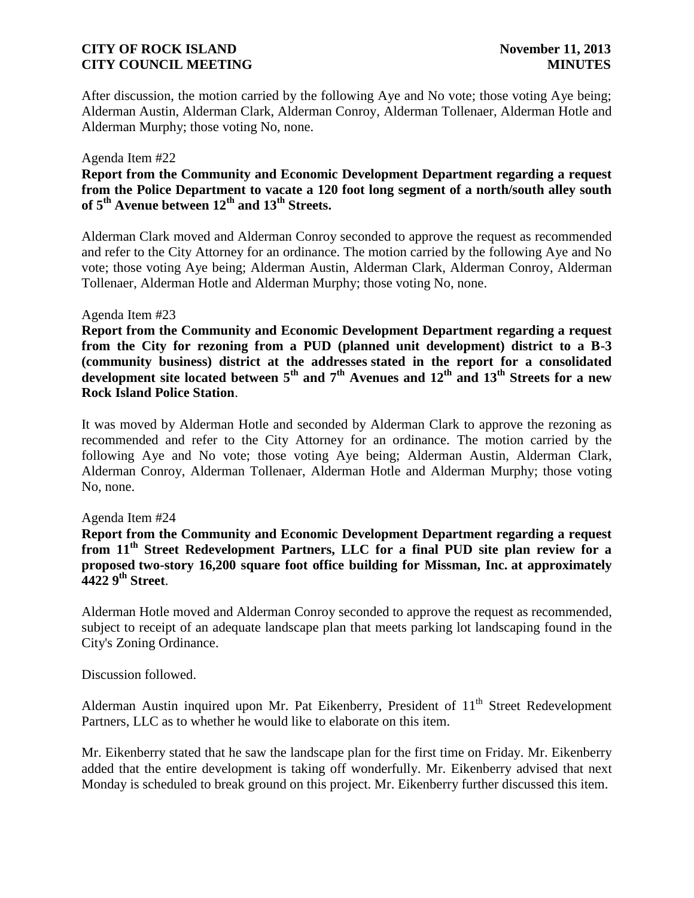After discussion, the motion carried by the following Aye and No vote; those voting Aye being; Alderman Austin, Alderman Clark, Alderman Conroy, Alderman Tollenaer, Alderman Hotle and Alderman Murphy; those voting No, none.

#### Agenda Item #22

### **Report from the Community and Economic Development Department regarding a request from the Police Department to vacate a 120 foot long segment of a north/south alley south**  of  $5<sup>th</sup>$  Avenue between  $12<sup>th</sup>$  and  $13<sup>th</sup>$  Streets.

Alderman Clark moved and Alderman Conroy seconded to approve the request as recommended and refer to the City Attorney for an ordinance. The motion carried by the following Aye and No vote; those voting Aye being; Alderman Austin, Alderman Clark, Alderman Conroy, Alderman Tollenaer, Alderman Hotle and Alderman Murphy; those voting No, none.

#### Agenda Item #23

**Report from the Community and Economic Development Department regarding a request from the City for rezoning from a PUD (planned unit development) district to a B-3 (community business) district at the addresses stated in the report for a consolidated development site located between 5th and 7th Avenues and 12th and 13th Streets for a new Rock Island Police Station**.

It was moved by Alderman Hotle and seconded by Alderman Clark to approve the rezoning as recommended and refer to the City Attorney for an ordinance. The motion carried by the following Aye and No vote; those voting Aye being; Alderman Austin, Alderman Clark, Alderman Conroy, Alderman Tollenaer, Alderman Hotle and Alderman Murphy; those voting No, none.

#### Agenda Item #24

**Report from the Community and Economic Development Department regarding a request from 11th Street Redevelopment Partners, LLC for a final PUD site plan review for a proposed two-story 16,200 square foot office building for Missman, Inc. at approximately 4422 9th Street**.

Alderman Hotle moved and Alderman Conroy seconded to approve the request as recommended, subject to receipt of an adequate landscape plan that meets parking lot landscaping found in the City's Zoning Ordinance.

Discussion followed.

Alderman Austin inquired upon Mr. Pat Eikenberry, President of  $11<sup>th</sup>$  Street Redevelopment Partners, LLC as to whether he would like to elaborate on this item.

Mr. Eikenberry stated that he saw the landscape plan for the first time on Friday. Mr. Eikenberry added that the entire development is taking off wonderfully. Mr. Eikenberry advised that next Monday is scheduled to break ground on this project. Mr. Eikenberry further discussed this item.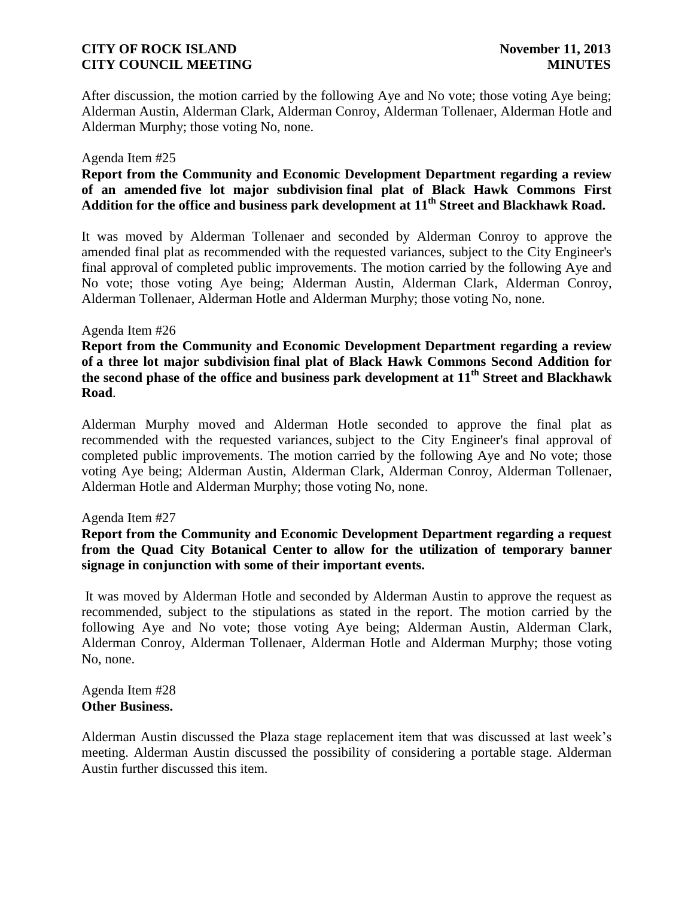After discussion, the motion carried by the following Aye and No vote; those voting Aye being; Alderman Austin, Alderman Clark, Alderman Conroy, Alderman Tollenaer, Alderman Hotle and Alderman Murphy; those voting No, none.

#### Agenda Item #25

# **Report from the Community and Economic Development Department regarding a review of an amended five lot major subdivision final plat of Black Hawk Commons First Addition for the office and business park development at 11th Street and Blackhawk Road.**

It was moved by Alderman Tollenaer and seconded by Alderman Conroy to approve the amended final plat as recommended with the requested variances, subject to the City Engineer's final approval of completed public improvements. The motion carried by the following Aye and No vote; those voting Aye being; Alderman Austin, Alderman Clark, Alderman Conroy, Alderman Tollenaer, Alderman Hotle and Alderman Murphy; those voting No, none.

#### Agenda Item #26

**Report from the Community and Economic Development Department regarding a review of a three lot major subdivision final plat of Black Hawk Commons Second Addition for the second phase of the office and business park development at 11th Street and Blackhawk Road**.

Alderman Murphy moved and Alderman Hotle seconded to approve the final plat as recommended with the requested variances, subject to the City Engineer's final approval of completed public improvements. The motion carried by the following Aye and No vote; those voting Aye being; Alderman Austin, Alderman Clark, Alderman Conroy, Alderman Tollenaer, Alderman Hotle and Alderman Murphy; those voting No, none.

#### Agenda Item #27

**Report from the Community and Economic Development Department regarding a request from the Quad City Botanical Center to allow for the utilization of temporary banner signage in conjunction with some of their important events.** 

It was moved by Alderman Hotle and seconded by Alderman Austin to approve the request as recommended, subject to the stipulations as stated in the report. The motion carried by the following Aye and No vote; those voting Aye being; Alderman Austin, Alderman Clark, Alderman Conroy, Alderman Tollenaer, Alderman Hotle and Alderman Murphy; those voting No, none.

Agenda Item #28 **Other Business.**

Alderman Austin discussed the Plaza stage replacement item that was discussed at last week's meeting. Alderman Austin discussed the possibility of considering a portable stage. Alderman Austin further discussed this item.